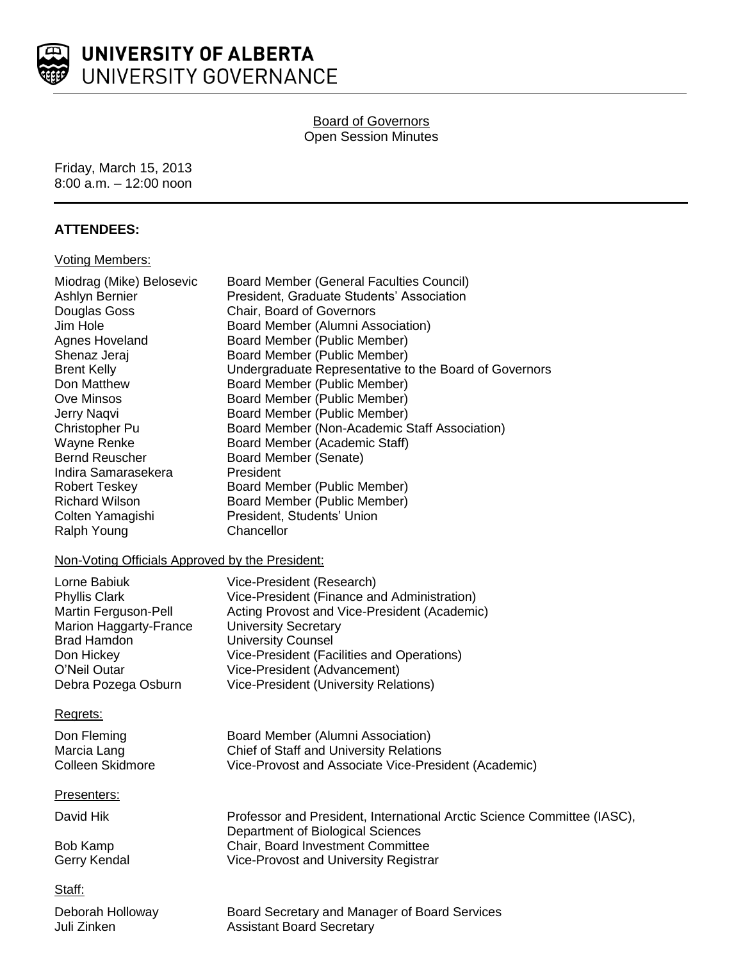

## Board of Governors Open Session Minutes

Friday, March 15, 2013 8:00 a.m. – 12:00 noon

## **ATTENDEES:**

#### Voting Members:

| Miodrag (Mike) Belosevic<br>Ashlyn Bernier<br>Douglas Goss<br>Jim Hole<br>Agnes Hoveland<br>Shenaz Jeraj<br><b>Brent Kelly</b><br>Don Matthew<br>Ove Minsos<br>Jerry Naqvi<br>Christopher Pu<br>Wayne Renke<br><b>Bernd Reuscher</b><br>Indira Samarasekera<br><b>Robert Teskey</b><br><b>Richard Wilson</b><br>Colten Yamagishi<br>Ralph Young<br>Non-Voting Officials Approved by the President: | <b>Board Member (General Faculties Council)</b><br>President, Graduate Students' Association<br>Chair, Board of Governors<br>Board Member (Alumni Association)<br>Board Member (Public Member)<br>Board Member (Public Member)<br>Undergraduate Representative to the Board of Governors<br>Board Member (Public Member)<br>Board Member (Public Member)<br>Board Member (Public Member)<br>Board Member (Non-Academic Staff Association)<br>Board Member (Academic Staff)<br>Board Member (Senate)<br>President<br>Board Member (Public Member)<br>Board Member (Public Member)<br>President, Students' Union<br>Chancellor |
|----------------------------------------------------------------------------------------------------------------------------------------------------------------------------------------------------------------------------------------------------------------------------------------------------------------------------------------------------------------------------------------------------|------------------------------------------------------------------------------------------------------------------------------------------------------------------------------------------------------------------------------------------------------------------------------------------------------------------------------------------------------------------------------------------------------------------------------------------------------------------------------------------------------------------------------------------------------------------------------------------------------------------------------|
| Lorne Babiuk                                                                                                                                                                                                                                                                                                                                                                                       | Vice-President (Research)                                                                                                                                                                                                                                                                                                                                                                                                                                                                                                                                                                                                    |
| <b>Phyllis Clark</b>                                                                                                                                                                                                                                                                                                                                                                               | Vice-President (Finance and Administration)                                                                                                                                                                                                                                                                                                                                                                                                                                                                                                                                                                                  |
| Martin Ferguson-Pell                                                                                                                                                                                                                                                                                                                                                                               | Acting Provost and Vice-President (Academic)                                                                                                                                                                                                                                                                                                                                                                                                                                                                                                                                                                                 |
| Marion Haggarty-France<br><b>Brad Hamdon</b>                                                                                                                                                                                                                                                                                                                                                       | <b>University Secretary</b><br><b>University Counsel</b>                                                                                                                                                                                                                                                                                                                                                                                                                                                                                                                                                                     |
| Don Hickey                                                                                                                                                                                                                                                                                                                                                                                         | Vice-President (Facilities and Operations)                                                                                                                                                                                                                                                                                                                                                                                                                                                                                                                                                                                   |
| O'Neil Outar                                                                                                                                                                                                                                                                                                                                                                                       | Vice-President (Advancement)                                                                                                                                                                                                                                                                                                                                                                                                                                                                                                                                                                                                 |
| Debra Pozega Osburn                                                                                                                                                                                                                                                                                                                                                                                | Vice-President (University Relations)                                                                                                                                                                                                                                                                                                                                                                                                                                                                                                                                                                                        |
| Regrets:                                                                                                                                                                                                                                                                                                                                                                                           |                                                                                                                                                                                                                                                                                                                                                                                                                                                                                                                                                                                                                              |
| Don Fleming                                                                                                                                                                                                                                                                                                                                                                                        | Board Member (Alumni Association)                                                                                                                                                                                                                                                                                                                                                                                                                                                                                                                                                                                            |
| Marcia Lang                                                                                                                                                                                                                                                                                                                                                                                        | Chief of Staff and University Relations                                                                                                                                                                                                                                                                                                                                                                                                                                                                                                                                                                                      |
| Colleen Skidmore                                                                                                                                                                                                                                                                                                                                                                                   | Vice-Provost and Associate Vice-President (Academic)                                                                                                                                                                                                                                                                                                                                                                                                                                                                                                                                                                         |
| Presenters:                                                                                                                                                                                                                                                                                                                                                                                        |                                                                                                                                                                                                                                                                                                                                                                                                                                                                                                                                                                                                                              |
| David Hik                                                                                                                                                                                                                                                                                                                                                                                          | Professor and President, International Arctic Science Committee (IASC),<br>Department of Biological Sciences                                                                                                                                                                                                                                                                                                                                                                                                                                                                                                                 |
| <b>Bob Kamp</b>                                                                                                                                                                                                                                                                                                                                                                                    | Chair, Board Investment Committee                                                                                                                                                                                                                                                                                                                                                                                                                                                                                                                                                                                            |
| Gerry Kendal                                                                                                                                                                                                                                                                                                                                                                                       | Vice-Provost and University Registrar                                                                                                                                                                                                                                                                                                                                                                                                                                                                                                                                                                                        |
| Staff:                                                                                                                                                                                                                                                                                                                                                                                             |                                                                                                                                                                                                                                                                                                                                                                                                                                                                                                                                                                                                                              |
| Deborah Holloway                                                                                                                                                                                                                                                                                                                                                                                   | Board Secretary and Manager of Board Services                                                                                                                                                                                                                                                                                                                                                                                                                                                                                                                                                                                |
| Juli Zinken                                                                                                                                                                                                                                                                                                                                                                                        | <b>Assistant Board Secretary</b>                                                                                                                                                                                                                                                                                                                                                                                                                                                                                                                                                                                             |
|                                                                                                                                                                                                                                                                                                                                                                                                    |                                                                                                                                                                                                                                                                                                                                                                                                                                                                                                                                                                                                                              |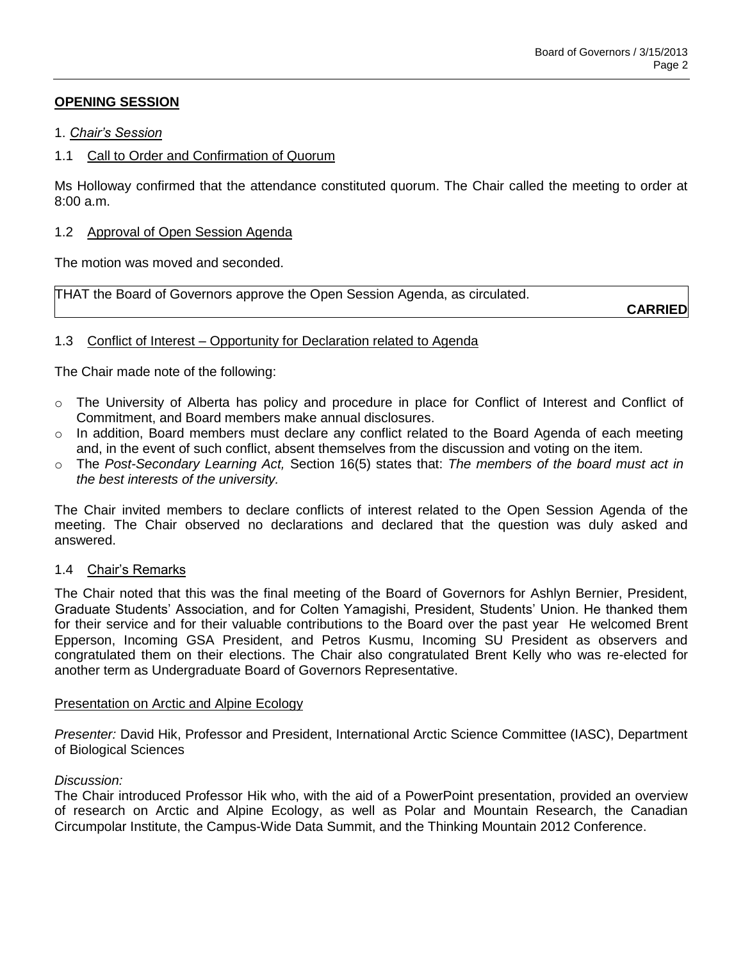# **OPENING SESSION**

### 1. *Chair's Session*

### 1.1 Call to Order and Confirmation of Quorum

Ms Holloway confirmed that the attendance constituted quorum. The Chair called the meeting to order at 8:00 a.m.

### 1.2 Approval of Open Session Agenda

The motion was moved and seconded.

THAT the Board of Governors approve the Open Session Agenda, as circulated.

**CARRIED**

## 1.3 Conflict of Interest – Opportunity for Declaration related to Agenda

The Chair made note of the following:

- o The University of Alberta has policy and procedure in place for Conflict of Interest and Conflict of Commitment, and Board members make annual disclosures.
- o In addition, Board members must declare any conflict related to the Board Agenda of each meeting and, in the event of such conflict, absent themselves from the discussion and voting on the item.
- o The *Post-Secondary Learning Act,* Section 16(5) states that: *The members of the board must act in the best interests of the university.*

The Chair invited members to declare conflicts of interest related to the Open Session Agenda of the meeting. The Chair observed no declarations and declared that the question was duly asked and answered.

## 1.4 Chair's Remarks

The Chair noted that this was the final meeting of the Board of Governors for Ashlyn Bernier, President, Graduate Students' Association, and for Colten Yamagishi, President, Students' Union. He thanked them for their service and for their valuable contributions to the Board over the past year He welcomed Brent Epperson, Incoming GSA President, and Petros Kusmu, Incoming SU President as observers and congratulated them on their elections. The Chair also congratulated Brent Kelly who was re-elected for another term as Undergraduate Board of Governors Representative.

### Presentation on Arctic and Alpine Ecology

*Presenter:* David Hik, Professor and President, International Arctic Science Committee (IASC), Department of Biological Sciences

### *Discussion:*

The Chair introduced Professor Hik who, with the aid of a PowerPoint presentation, provided an overview of research on Arctic and Alpine Ecology, as well as Polar and Mountain Research, the Canadian Circumpolar Institute, the Campus-Wide Data Summit, and the Thinking Mountain 2012 Conference.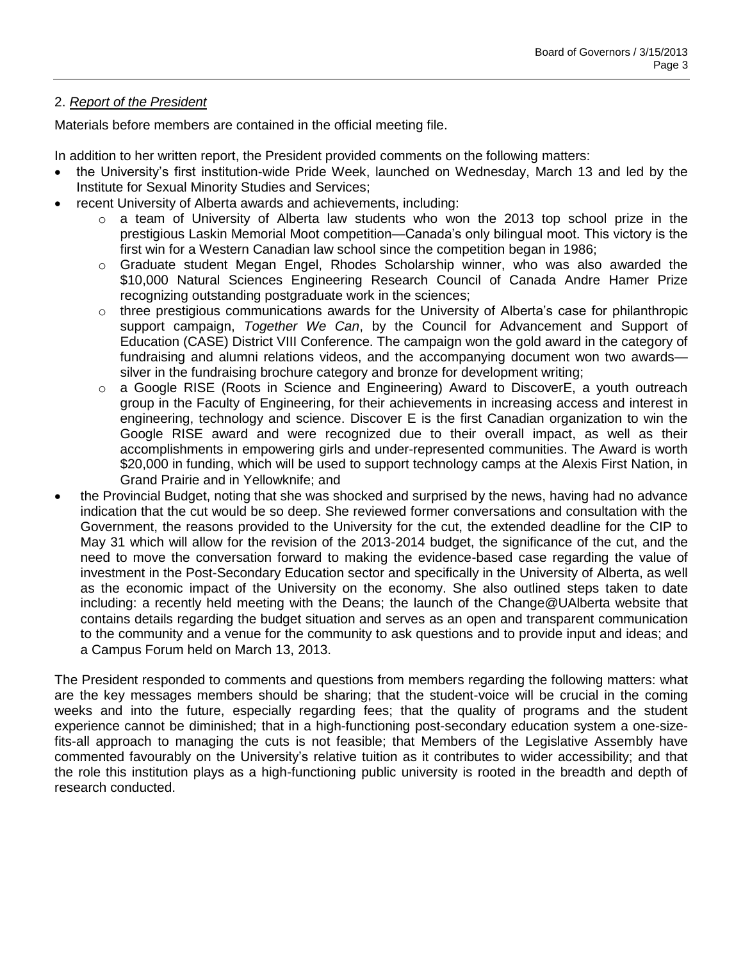# 2. *Report of the President*

Materials before members are contained in the official meeting file.

In addition to her written report, the President provided comments on the following matters:

- the University's first institution-wide Pride Week, launched on Wednesday, March 13 and led by the Institute for Sexual Minority Studies and Services;
- recent University of Alberta awards and achievements, including:
	- $\circ$  a team of University of Alberta law students who won the 2013 top school prize in the prestigious Laskin Memorial Moot competition—Canada's only bilingual moot. This victory is the first win for a Western Canadian law school since the competition began in 1986;
	- $\circ$  Graduate student Megan Engel, Rhodes Scholarship winner, who was also awarded the \$10,000 Natural Sciences Engineering Research Council of Canada Andre Hamer Prize recognizing outstanding postgraduate work in the sciences;
	- $\circ$  three prestigious communications awards for the University of Alberta's case for philanthropic support campaign, *Together We Can*, by the Council for Advancement and Support of Education (CASE) District VIII Conference. The campaign won the gold award in the category of fundraising and alumni relations videos, and the accompanying document won two awards silver in the fundraising brochure category and bronze for development writing;
	- o a Google RISE (Roots in Science and Engineering) Award to DiscoverE, a youth outreach group in the Faculty of Engineering, for their achievements in increasing access and interest in engineering, technology and science. Discover E is the first Canadian organization to win the Google RISE award and were recognized due to their overall impact, as well as their accomplishments in empowering girls and under-represented communities. The Award is worth \$20,000 in funding, which will be used to support technology camps at the Alexis First Nation, in Grand Prairie and in Yellowknife; and
- the Provincial Budget, noting that she was shocked and surprised by the news, having had no advance indication that the cut would be so deep. She reviewed former conversations and consultation with the Government, the reasons provided to the University for the cut, the extended deadline for the CIP to May 31 which will allow for the revision of the 2013-2014 budget, the significance of the cut, and the need to move the conversation forward to making the evidence-based case regarding the value of investment in the Post-Secondary Education sector and specifically in the University of Alberta, as well as the economic impact of the University on the economy. She also outlined steps taken to date including: a recently held meeting with the Deans; the launch of the Change@UAlberta website that contains details regarding the budget situation and serves as an open and transparent communication to the community and a venue for the community to ask questions and to provide input and ideas; and a Campus Forum held on March 13, 2013.

The President responded to comments and questions from members regarding the following matters: what are the key messages members should be sharing; that the student-voice will be crucial in the coming weeks and into the future, especially regarding fees; that the quality of programs and the student experience cannot be diminished; that in a high-functioning post-secondary education system a one-sizefits-all approach to managing the cuts is not feasible; that Members of the Legislative Assembly have commented favourably on the University's relative tuition as it contributes to wider accessibility; and that the role this institution plays as a high-functioning public university is rooted in the breadth and depth of research conducted.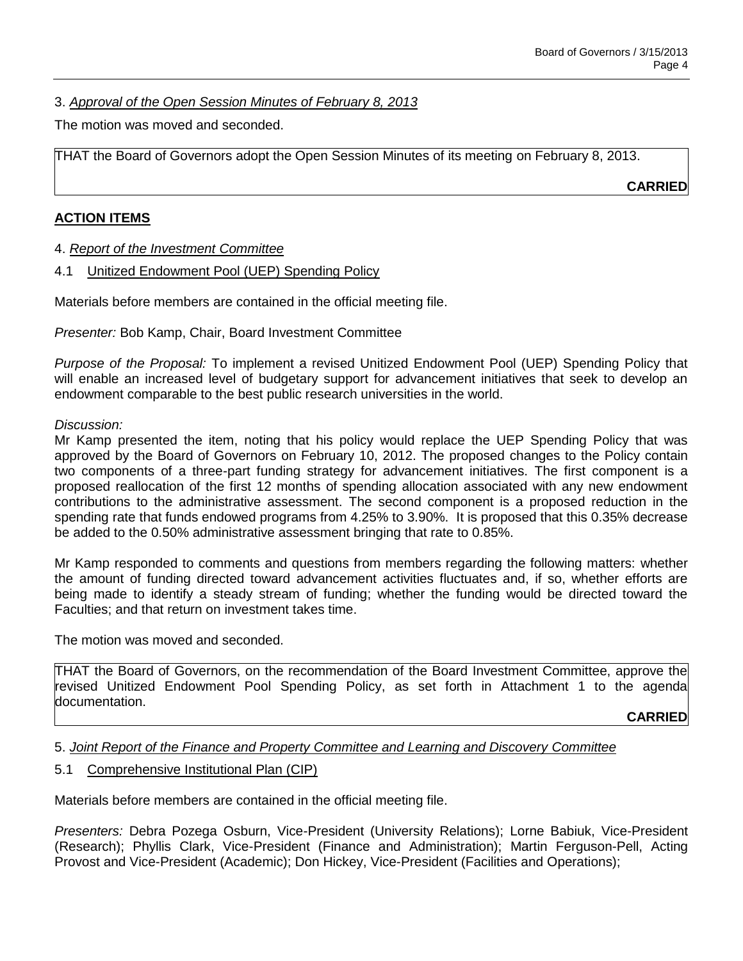3. *Approval of the Open Session Minutes of February 8, 2013*

The motion was moved and seconded.

THAT the Board of Governors adopt the Open Session Minutes of its meeting on February 8, 2013.

**CARRIED**

### **ACTION ITEMS**

4. *Report of the Investment Committee*

4.1 Unitized Endowment Pool (UEP) Spending Policy

Materials before members are contained in the official meeting file.

*Presenter:* Bob Kamp, Chair, Board Investment Committee

*Purpose of the Proposal:* To implement a revised Unitized Endowment Pool (UEP) Spending Policy that will enable an increased level of budgetary support for advancement initiatives that seek to develop an endowment comparable to the best public research universities in the world.

### *Discussion:*

Mr Kamp presented the item, noting that his policy would replace the UEP Spending Policy that was approved by the Board of Governors on February 10, 2012. The proposed changes to the Policy contain two components of a three-part funding strategy for advancement initiatives. The first component is a proposed reallocation of the first 12 months of spending allocation associated with any new endowment contributions to the administrative assessment. The second component is a proposed reduction in the spending rate that funds endowed programs from 4.25% to 3.90%. It is proposed that this 0.35% decrease be added to the 0.50% administrative assessment bringing that rate to 0.85%.

Mr Kamp responded to comments and questions from members regarding the following matters: whether the amount of funding directed toward advancement activities fluctuates and, if so, whether efforts are being made to identify a steady stream of funding; whether the funding would be directed toward the Faculties; and that return on investment takes time.

The motion was moved and seconded.

THAT the Board of Governors, on the recommendation of the Board Investment Committee, approve the revised Unitized Endowment Pool Spending Policy, as set forth in Attachment 1 to the agenda documentation.

**CARRIED**

## 5. *Joint Report of the Finance and Property Committee and Learning and Discovery Committee*

### 5.1 Comprehensive Institutional Plan (CIP)

Materials before members are contained in the official meeting file.

*Presenters:* Debra Pozega Osburn, Vice-President (University Relations); Lorne Babiuk, Vice-President (Research); Phyllis Clark, Vice-President (Finance and Administration); Martin Ferguson-Pell, Acting Provost and Vice-President (Academic); Don Hickey, Vice-President (Facilities and Operations);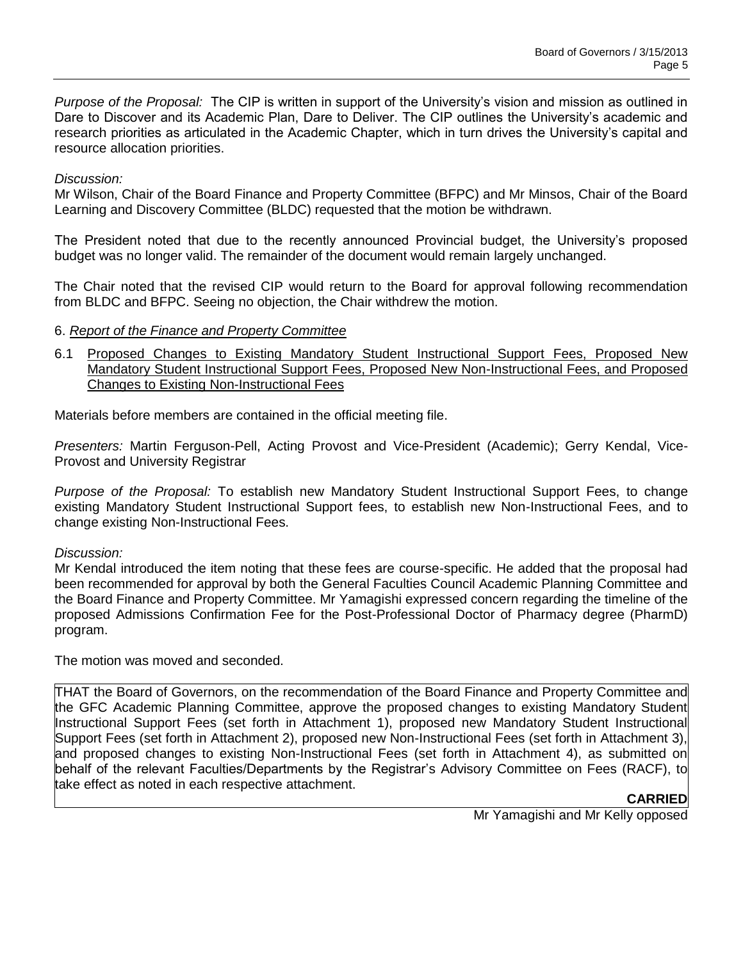*Purpose of the Proposal:* The CIP is written in support of the University's vision and mission as outlined in Dare to Discover and its Academic Plan, Dare to Deliver. The CIP outlines the University's academic and research priorities as articulated in the Academic Chapter, which in turn drives the University's capital and resource allocation priorities.

### *Discussion:*

Mr Wilson, Chair of the Board Finance and Property Committee (BFPC) and Mr Minsos, Chair of the Board Learning and Discovery Committee (BLDC) requested that the motion be withdrawn.

The President noted that due to the recently announced Provincial budget, the University's proposed budget was no longer valid. The remainder of the document would remain largely unchanged.

The Chair noted that the revised CIP would return to the Board for approval following recommendation from BLDC and BFPC. Seeing no objection, the Chair withdrew the motion.

### 6. *Report of the Finance and Property Committee*

6.1 Proposed Changes to Existing Mandatory Student Instructional Support Fees, Proposed New Mandatory Student Instructional Support Fees, Proposed New Non-Instructional Fees, and Proposed Changes to Existing Non-Instructional Fees

Materials before members are contained in the official meeting file.

*Presenters:* Martin Ferguson-Pell, Acting Provost and Vice-President (Academic); Gerry Kendal, Vice-Provost and University Registrar

*Purpose of the Proposal:* To establish new Mandatory Student Instructional Support Fees, to change existing Mandatory Student Instructional Support fees, to establish new Non-Instructional Fees, and to change existing Non-Instructional Fees.

### *Discussion:*

Mr Kendal introduced the item noting that these fees are course-specific. He added that the proposal had been recommended for approval by both the General Faculties Council Academic Planning Committee and the Board Finance and Property Committee. Mr Yamagishi expressed concern regarding the timeline of the proposed Admissions Confirmation Fee for the Post-Professional Doctor of Pharmacy degree (PharmD) program.

The motion was moved and seconded.

THAT the Board of Governors, on the recommendation of the Board Finance and Property Committee and the GFC Academic Planning Committee, approve the proposed changes to existing Mandatory Student Instructional Support Fees (set forth in Attachment 1), proposed new Mandatory Student Instructional Support Fees (set forth in Attachment 2), proposed new Non-Instructional Fees (set forth in Attachment 3), and proposed changes to existing Non-Instructional Fees (set forth in Attachment 4), as submitted on behalf of the relevant Faculties/Departments by the Registrar's Advisory Committee on Fees (RACF), to take effect as noted in each respective attachment.

## **CARRIED**

Mr Yamagishi and Mr Kelly opposed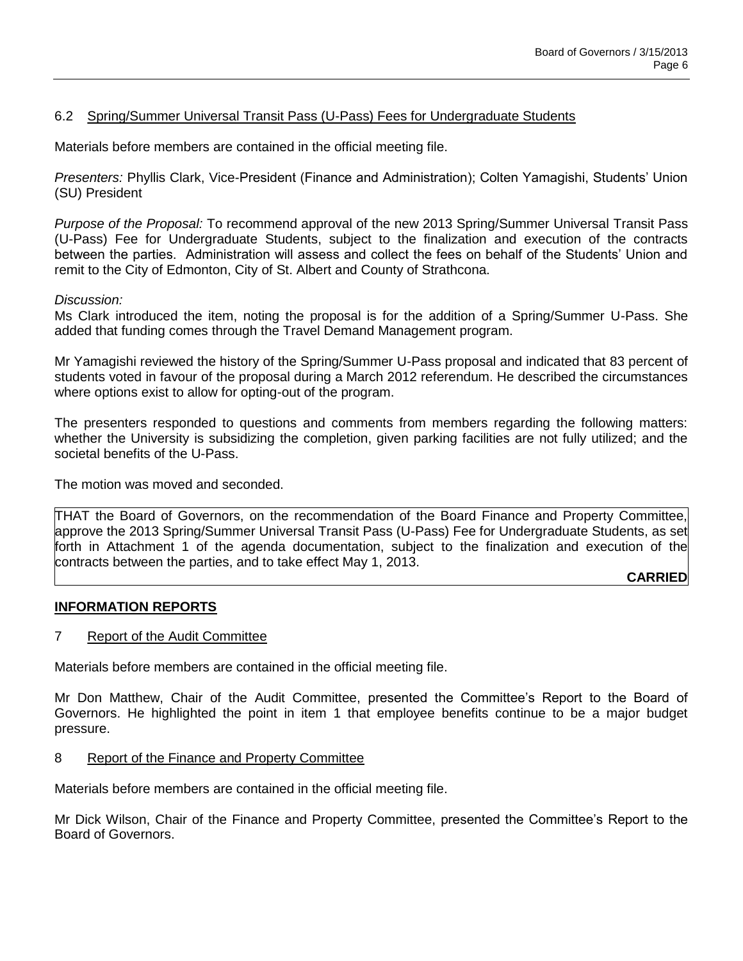## 6.2 Spring/Summer Universal Transit Pass (U-Pass) Fees for Undergraduate Students

Materials before members are contained in the official meeting file.

*Presenters:* Phyllis Clark, Vice-President (Finance and Administration); Colten Yamagishi, Students' Union (SU) President

*Purpose of the Proposal:* To recommend approval of the new 2013 Spring/Summer Universal Transit Pass (U-Pass) Fee for Undergraduate Students, subject to the finalization and execution of the contracts between the parties. Administration will assess and collect the fees on behalf of the Students' Union and remit to the City of Edmonton, City of St. Albert and County of Strathcona.

#### *Discussion:*

Ms Clark introduced the item, noting the proposal is for the addition of a Spring/Summer U-Pass. She added that funding comes through the Travel Demand Management program.

Mr Yamagishi reviewed the history of the Spring/Summer U-Pass proposal and indicated that 83 percent of students voted in favour of the proposal during a March 2012 referendum. He described the circumstances where options exist to allow for opting-out of the program.

The presenters responded to questions and comments from members regarding the following matters: whether the University is subsidizing the completion, given parking facilities are not fully utilized; and the societal benefits of the U-Pass.

The motion was moved and seconded.

THAT the Board of Governors, on the recommendation of the Board Finance and Property Committee, approve the 2013 Spring/Summer Universal Transit Pass (U-Pass) Fee for Undergraduate Students, as set forth in Attachment 1 of the agenda documentation, subject to the finalization and execution of the contracts between the parties, and to take effect May 1, 2013.

### **CARRIED**

#### **INFORMATION REPORTS**

#### 7 Report of the Audit Committee

Materials before members are contained in the official meeting file.

Mr Don Matthew, Chair of the Audit Committee, presented the Committee's Report to the Board of Governors. He highlighted the point in item 1 that employee benefits continue to be a major budget pressure.

#### 8 Report of the Finance and Property Committee

Materials before members are contained in the official meeting file.

Mr Dick Wilson, Chair of the Finance and Property Committee, presented the Committee's Report to the Board of Governors.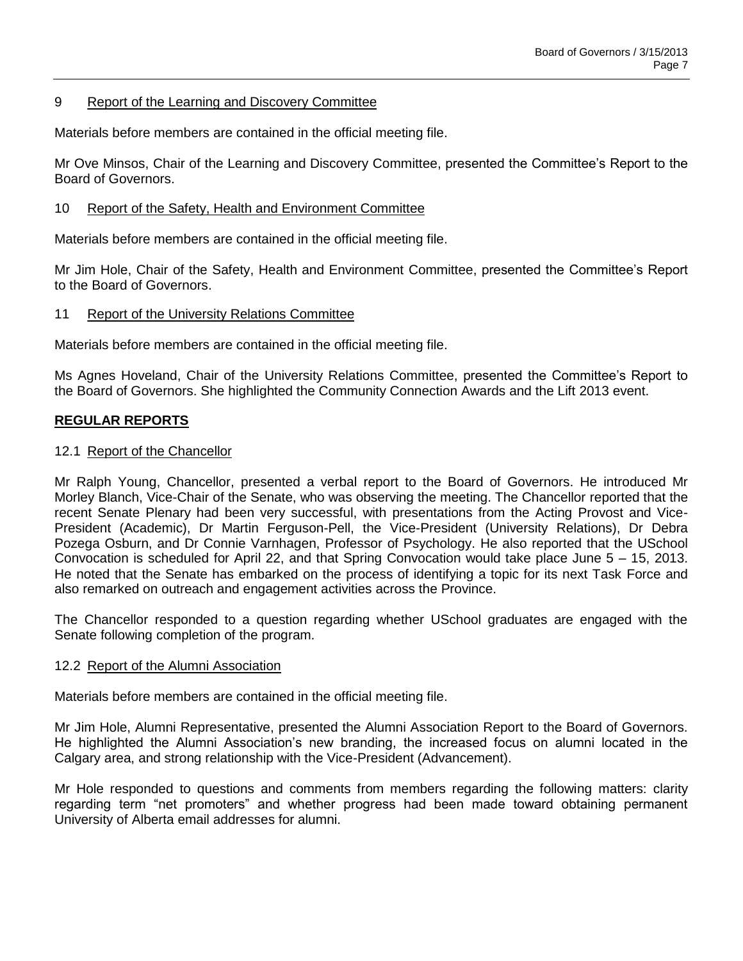### 9 Report of the Learning and Discovery Committee

Materials before members are contained in the official meeting file.

Mr Ove Minsos, Chair of the Learning and Discovery Committee, presented the Committee's Report to the Board of Governors.

### 10 Report of the Safety, Health and Environment Committee

Materials before members are contained in the official meeting file.

Mr Jim Hole, Chair of the Safety, Health and Environment Committee, presented the Committee's Report to the Board of Governors.

### 11 Report of the University Relations Committee

Materials before members are contained in the official meeting file.

Ms Agnes Hoveland, Chair of the University Relations Committee, presented the Committee's Report to the Board of Governors. She highlighted the Community Connection Awards and the Lift 2013 event.

## **REGULAR REPORTS**

### 12.1 Report of the Chancellor

Mr Ralph Young, Chancellor, presented a verbal report to the Board of Governors. He introduced Mr Morley Blanch, Vice-Chair of the Senate, who was observing the meeting. The Chancellor reported that the recent Senate Plenary had been very successful, with presentations from the Acting Provost and Vice-President (Academic), Dr Martin Ferguson-Pell, the Vice-President (University Relations), Dr Debra Pozega Osburn, and Dr Connie Varnhagen, Professor of Psychology. He also reported that the USchool Convocation is scheduled for April 22, and that Spring Convocation would take place June 5 – 15, 2013. He noted that the Senate has embarked on the process of identifying a topic for its next Task Force and also remarked on outreach and engagement activities across the Province.

The Chancellor responded to a question regarding whether USchool graduates are engaged with the Senate following completion of the program.

### 12.2 Report of the Alumni Association

Materials before members are contained in the official meeting file.

Mr Jim Hole, Alumni Representative, presented the Alumni Association Report to the Board of Governors. He highlighted the Alumni Association's new branding, the increased focus on alumni located in the Calgary area, and strong relationship with the Vice-President (Advancement).

Mr Hole responded to questions and comments from members regarding the following matters: clarity regarding term "net promoters" and whether progress had been made toward obtaining permanent University of Alberta email addresses for alumni.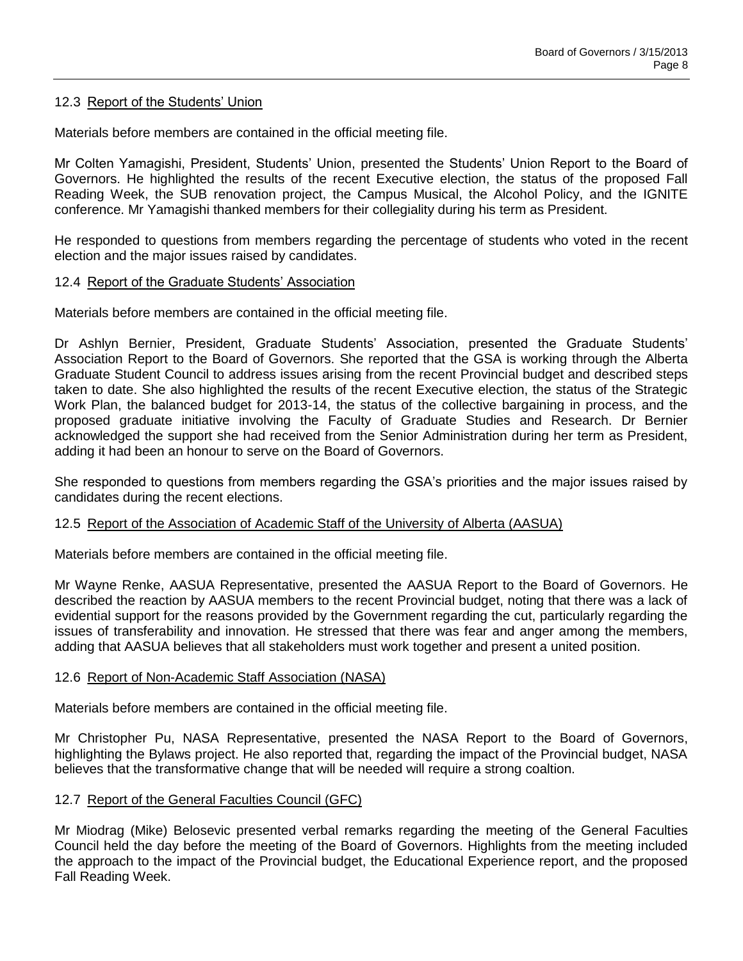### 12.3 Report of the Students' Union

Materials before members are contained in the official meeting file.

Mr Colten Yamagishi, President, Students' Union, presented the Students' Union Report to the Board of Governors. He highlighted the results of the recent Executive election, the status of the proposed Fall Reading Week, the SUB renovation project, the Campus Musical, the Alcohol Policy, and the IGNITE conference. Mr Yamagishi thanked members for their collegiality during his term as President.

He responded to questions from members regarding the percentage of students who voted in the recent election and the major issues raised by candidates.

### 12.4 Report of the Graduate Students' Association

Materials before members are contained in the official meeting file.

Dr Ashlyn Bernier, President, Graduate Students' Association, presented the Graduate Students' Association Report to the Board of Governors. She reported that the GSA is working through the Alberta Graduate Student Council to address issues arising from the recent Provincial budget and described steps taken to date. She also highlighted the results of the recent Executive election, the status of the Strategic Work Plan, the balanced budget for 2013-14, the status of the collective bargaining in process, and the proposed graduate initiative involving the Faculty of Graduate Studies and Research. Dr Bernier acknowledged the support she had received from the Senior Administration during her term as President, adding it had been an honour to serve on the Board of Governors.

She responded to questions from members regarding the GSA's priorities and the major issues raised by candidates during the recent elections.

#### 12.5 Report of the Association of Academic Staff of the University of Alberta (AASUA)

Materials before members are contained in the official meeting file.

Mr Wayne Renke, AASUA Representative, presented the AASUA Report to the Board of Governors. He described the reaction by AASUA members to the recent Provincial budget, noting that there was a lack of evidential support for the reasons provided by the Government regarding the cut, particularly regarding the issues of transferability and innovation. He stressed that there was fear and anger among the members, adding that AASUA believes that all stakeholders must work together and present a united position.

### 12.6 Report of Non-Academic Staff Association (NASA)

Materials before members are contained in the official meeting file.

Mr Christopher Pu, NASA Representative, presented the NASA Report to the Board of Governors, highlighting the Bylaws project. He also reported that, regarding the impact of the Provincial budget, NASA believes that the transformative change that will be needed will require a strong coaltion.

### 12.7 Report of the General Faculties Council (GFC)

Mr Miodrag (Mike) Belosevic presented verbal remarks regarding the meeting of the General Faculties Council held the day before the meeting of the Board of Governors. Highlights from the meeting included the approach to the impact of the Provincial budget, the Educational Experience report, and the proposed Fall Reading Week.